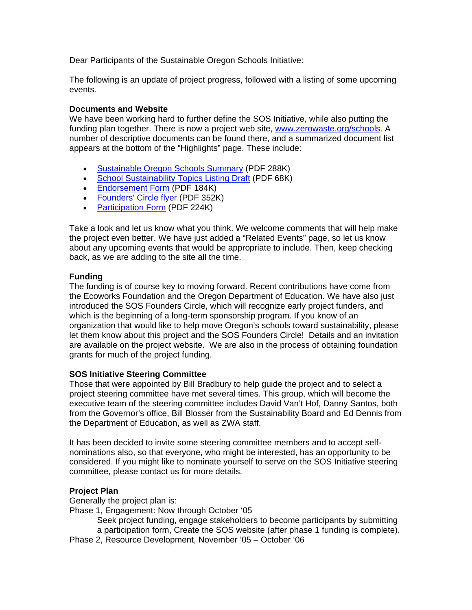Dear Participants of the Sustainable Oregon Schools Initiative:

The following is an update of project progress, followed with a listing of some upcoming events.

# **Documents and Website**

We have been working hard to further define the SOS Initiative, while also putting the funding plan together. There is now a project web site, [www.zerowaste.org/schools](http://www.zerowaste.org/schools). A number of descriptive documents can be found there, and a summarized document list appears at the bottom of the "Highlights" page. These include:

- [Sustainable Oregon Schools Summary](http://www.zerowaste.org/schools/documents/SOS Summary-Brief 050601.pdf) (PDF 288K)
- [School Sustainability Topics Listing Draft](http://www.zerowaste.org/schools/documents/School Sust Topics 050601a.pdf) (PDF 68K)
- [Endorsement Form](http://www.zerowaste.org/schools/documents/SOS Endorsement form 050601.pdf) (PDF 184K)
- [Founders' Circle flyer](http://www.zerowaste.org/schools/documents/SOS Founders Circle 050601.pdf) (PDF 352K)
- [Participation Form](http://www.zerowaste.org/schools/documents/Participation Form 050601.pdf) (PDF 224K)

Take a look and let us know what you think. We welcome comments that will help make the project even better. We have just added a "Related Events" page, so let us know about any upcoming events that would be appropriate to include. Then, keep checking back, as we are adding to the site all the time.

# **Funding**

The funding is of course key to moving forward. Recent contributions have come from the Ecoworks Foundation and the Oregon Department of Education. We have also just introduced the SOS Founders Circle, which will recognize early project funders, and which is the beginning of a long-term sponsorship program. If you know of an organization that would like to help move Oregon's schools toward sustainability, please let them know about this project and the SOS Founders Circle! Details and an invitation are available on the project website. We are also in the process of obtaining foundation grants for much of the project funding.

### **SOS Initiative Steering Committee**

Those that were appointed by Bill Bradbury to help guide the project and to select a project steering committee have met several times. This group, which will become the executive team of the steering committee includes David Van't Hof, Danny Santos, both from the Governor's office, Bill Blosser from the Sustainability Board and Ed Dennis from the Department of Education, as well as ZWA staff.

It has been decided to invite some steering committee members and to accept selfnominations also, so that everyone, who might be interested, has an opportunity to be considered. If you might like to nominate yourself to serve on the SOS Initiative steering committee, please contact us for more details.

# **Project Plan**

Generally the project plan is:

Phase 1, Engagement: Now through October '05

Seek project funding, engage stakeholders to become participants by submitting a participation form, Create the SOS website (after phase 1 funding is complete).

Phase 2, Resource Development, November '05 – October '06